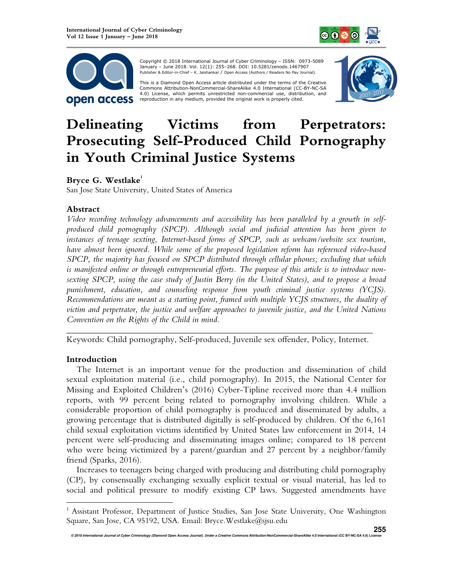



 Copyright © 2018 International Journal of Cyber Criminology – ISSN: 0973-5089 January – June 2018. Vol. 12(1): 255–268. DOI: 10.5281/zenodo.1467907 Publisher & Editor-in-Chief – K. Jaishankar / Open Access (Authors / Readers No Pay Journal).

This is a Diamond Open Access article distributed under the terms of the Creative<br>Commons Attribution-NonCommercial-ShareAlike 4.0 International (CC-BY-NC-SA 4.0) License, which permits unrestricted non-commercial use, distribution, and reproduction in any medium, provided the original work is properly cited.



# **Delineating Victims from Perpetrators: Prosecuting Self-Produced Child Pornography in Youth Criminal Justice Systems**

# **Bryce G. Westlake<sup>1</sup>**

San Jose State University, United States of America

# **Abstract**

*Video recording technology advancements and accessibility has been paralleled by a growth in selfproduced child pornography (SPCP). Although social and judicial attention has been given to instances of teenage sexting, Internet-based forms of SPCP, such as webcam/website sex tourism, have almost been ignored. While some of the proposed legislation reform has referenced video-based SPCP, the majority has focused on SPCP distributed through cellular phones; excluding that which is manifested online or through entrepreneurial efforts. The purpose of this article is to introduce nonsexting SPCP, using the case study of Justin Berry (in the United States), and to propose a broad punishment, education, and counseling response from youth criminal justice systems (YCJS). Recommendations are meant as a starting point, framed with multiple YCJS structures, the duality of victim and perpetrator, the justice and welfare approaches to juvenile justice, and the United Nations Convention on the Rights of the Child in mind.* 

*\_\_\_\_\_\_\_\_\_\_\_\_\_\_\_\_\_\_\_\_\_\_\_\_\_\_\_\_\_\_\_\_\_\_\_\_\_\_\_\_\_\_\_\_\_\_\_\_\_\_\_\_\_\_\_\_\_\_\_\_\_\_\_\_*\_\_\_\_\_ Keywords: Child pornography, Self-produced, Juvenile sex offender, Policy, Internet.

# **Introduction**

 $\overline{a}$ 

The Internet is an important venue for the production and dissemination of child sexual exploitation material (i.e., child pornography). In 2015, the National Center for Missing and Exploited Children's (2016) Cyber-Tipline received more than 4.4 million reports, with 99 percent being related to pornography involving children. While a considerable proportion of child pornography is produced and disseminated by adults, a growing percentage that is distributed digitally is self-produced by children. Of the 6,161 child sexual exploitation victims identified by United States law enforcement in 2014, 14 percent were self-producing and disseminating images online; compared to 18 percent who were being victimized by a parent/guardian and 27 percent by a neighbor/family friend (Sparks, 2016).

Increases to teenagers being charged with producing and distributing child pornography (CP), by consensually exchanging sexually explicit textual or visual material, has led to social and political pressure to modify existing CP laws. Suggested amendments have

<sup>&</sup>lt;sup>1</sup> Assistant Professor, Department of Justice Studies, San Jose State University, One Washington Square, San Jose, CA 95192, USA. Email: Bryce.Westlake@sjsu.edu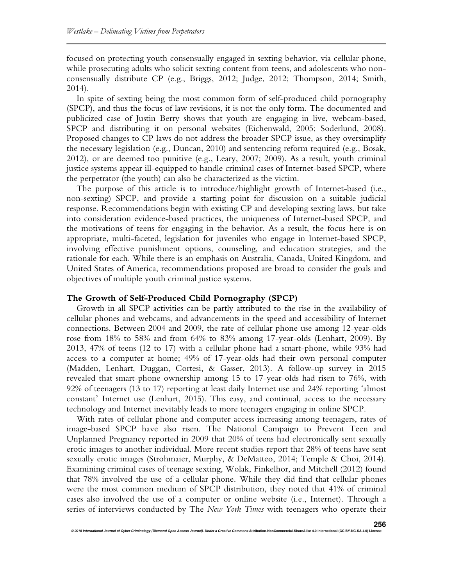focused on protecting youth consensually engaged in sexting behavior, via cellular phone, while prosecuting adults who solicit sexting content from teens, and adolescents who nonconsensually distribute CP (e.g., Briggs, 2012; Judge, 2012; Thompson, 2014; Smith, 2014).

In spite of sexting being the most common form of self-produced child pornography (SPCP), and thus the focus of law revisions, it is not the only form. The documented and publicized case of Justin Berry shows that youth are engaging in live, webcam-based, SPCP and distributing it on personal websites (Eichenwald, 2005; Soderlund, 2008). Proposed changes to CP laws do not address the broader SPCP issue, as they oversimplify the necessary legislation (e.g., Duncan, 2010) and sentencing reform required (e.g., Bosak, 2012), or are deemed too punitive (e.g., Leary, 2007; 2009). As a result, youth criminal justice systems appear ill-equipped to handle criminal cases of Internet-based SPCP, where the perpetrator (the youth) can also be characterized as the victim.

The purpose of this article is to introduce/highlight growth of Internet-based (i.e., non-sexting) SPCP, and provide a starting point for discussion on a suitable judicial response. Recommendations begin with existing CP and developing sexting laws, but take into consideration evidence-based practices, the uniqueness of Internet-based SPCP, and the motivations of teens for engaging in the behavior. As a result, the focus here is on appropriate, multi-faceted, legislation for juveniles who engage in Internet-based SPCP, involving effective punishment options, counseling, and education strategies, and the rationale for each. While there is an emphasis on Australia, Canada, United Kingdom, and United States of America, recommendations proposed are broad to consider the goals and objectives of multiple youth criminal justice systems.

#### **The Growth of Self-Produced Child Pornography (SPCP)**

Growth in all SPCP activities can be partly attributed to the rise in the availability of cellular phones and webcams, and advancements in the speed and accessibility of Internet connections. Between 2004 and 2009, the rate of cellular phone use among 12-year-olds rose from 18% to 58% and from 64% to 83% among 17-year-olds (Lenhart, 2009). By 2013, 47% of teens (12 to 17) with a cellular phone had a smart-phone, while 93% had access to a computer at home; 49% of 17-year-olds had their own personal computer (Madden, Lenhart, Duggan, Cortesi, & Gasser, 2013). A follow-up survey in 2015 revealed that smart-phone ownership among 15 to 17-year-olds had risen to 76%, with 92% of teenagers (13 to 17) reporting at least daily Internet use and 24% reporting 'almost constant' Internet use (Lenhart, 2015). This easy, and continual, access to the necessary technology and Internet inevitably leads to more teenagers engaging in online SPCP.

With rates of cellular phone and computer access increasing among teenagers, rates of image-based SPCP have also risen. The National Campaign to Prevent Teen and Unplanned Pregnancy reported in 2009 that 20% of teens had electronically sent sexually erotic images to another individual. More recent studies report that 28% of teens have sent sexually erotic images (Strohmaier, Murphy, & DeMatteo, 2014; Temple & Choi, 2014). Examining criminal cases of teenage sexting, Wolak, Finkelhor, and Mitchell (2012) found that 78% involved the use of a cellular phone. While they did find that cellular phones were the most common medium of SPCP distribution, they noted that 41% of criminal cases also involved the use of a computer or online website (i.e., Internet). Through a series of interviews conducted by The *New York Times* with teenagers who operate their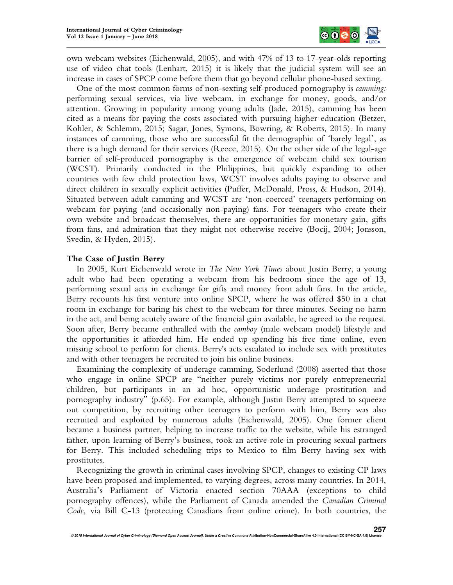

own webcam websites (Eichenwald, 2005), and with 47% of 13 to 17-year-olds reporting use of video chat tools (Lenhart, 2015) it is likely that the judicial system will see an increase in cases of SPCP come before them that go beyond cellular phone-based sexting.

One of the most common forms of non-sexting self-produced pornography is *camming:*  performing sexual services, via live webcam, in exchange for money, goods, and/or attention. Growing in popularity among young adults (Jade, 2015), camming has been cited as a means for paying the costs associated with pursuing higher education (Betzer, Kohler, & Schlemm, 2015; Sagar, Jones, Symons, Bowring, & Roberts, 2015). In many instances of camming, those who are successful fit the demographic of 'barely legal', as there is a high demand for their services (Reece, 2015). On the other side of the legal-age barrier of self-produced pornography is the emergence of webcam child sex tourism (WCST). Primarily conducted in the Philippines, but quickly expanding to other countries with few child protection laws, WCST involves adults paying to observe and direct children in sexually explicit activities (Puffer, McDonald, Pross, & Hudson, 2014). Situated between adult camming and WCST are 'non-coerced' teenagers performing on webcam for paying (and occasionally non-paying) fans. For teenagers who create their own website and broadcast themselves, there are opportunities for monetary gain, gifts from fans, and admiration that they might not otherwise receive (Bocij, 2004; Jonsson, Svedin, & Hyden, 2015).

## **The Case of Justin Berry**

In 2005, Kurt Eichenwald wrote in *The New York Times* about Justin Berry, a young adult who had been operating a webcam from his bedroom since the age of 13, performing sexual acts in exchange for gifts and money from adult fans. In the article, Berry recounts his first venture into online SPCP, where he was offered \$50 in a chat room in exchange for baring his chest to the webcam for three minutes. Seeing no harm in the act, and being acutely aware of the financial gain available, he agreed to the request. Soon after, Berry became enthralled with the *camboy* (male webcam model) lifestyle and the opportunities it afforded him. He ended up spending his free time online, even missing school to perform for clients. Berry's acts escalated to include sex with prostitutes and with other teenagers he recruited to join his online business.

Examining the complexity of underage camming, Soderlund (2008) asserted that those who engage in online SPCP are "neither purely victims nor purely entrepreneurial children, but participants in an ad hoc, opportunistic underage prostitution and pornography industry" (p.65). For example, although Justin Berry attempted to squeeze out competition, by recruiting other teenagers to perform with him, Berry was also recruited and exploited by numerous adults (Eichenwald, 2005). One former client became a business partner, helping to increase traffic to the website, while his estranged father, upon learning of Berry's business, took an active role in procuring sexual partners for Berry. This included scheduling trips to Mexico to film Berry having sex with prostitutes.

Recognizing the growth in criminal cases involving SPCP, changes to existing CP laws have been proposed and implemented, to varying degrees, across many countries. In 2014, Australia's Parliament of Victoria enacted section 70AAA (exceptions to child pornography offences), while the Parliament of Canada amended the *Canadian Criminal Code,* via Bill C-13 (protecting Canadians from online crime). In both countries, the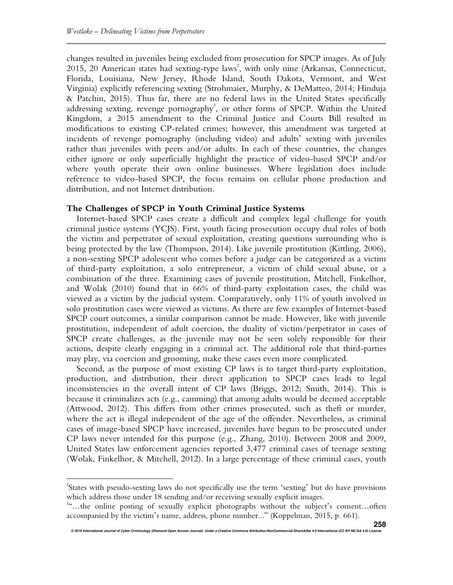$\overline{a}$ 

changes resulted in juveniles being excluded from prosecution for SPCP images*.* As of July 2015, 20 American states had sexting-type laws<sup>2</sup>, with only nine (Arkansas, Connecticut, Florida, Louisiana, New Jersey, Rhode Island, South Dakota, Vermont, and West Virginia) explicitly referencing sexting (Strohmaier, Murphy, & DeMatteo, 2014; Hinduja & Patchin, 2015). Thus far, there are no federal laws in the United States specifically addressing sexting, revenge pornography<sup>3</sup>, or other forms of SPCP. Within the United Kingdom, a 2015 amendment to the Criminal Justice and Courts Bill resulted in modifications to existing CP-related crimes; however, this amendment was targeted at incidents of revenge pornography (including video) and adults' sexting with juveniles rather than juveniles with peers and/or adults. In each of these countries, the changes either ignore or only superficially highlight the practice of video-based SPCP and/or where youth operate their own online businesses. Where legislation does include reference to video-based SPCP, the focus remains on cellular phone production and distribution, and not Internet distribution.

## **The Challenges of SPCP in Youth Criminal Justice Systems**

Internet-based SPCP cases create a difficult and complex legal challenge for youth criminal justice systems (YCJS). First, youth facing prosecution occupy dual roles of both the victim and perpetrator of sexual exploitation, creating questions surrounding who is being protected by the law (Thompson, 2014). Like juvenile prostitution (Kittling, 2006), a non-sexting SPCP adolescent who comes before a judge can be categorized as a victim of third-party exploitation, a solo entrepreneur, a victim of child sexual abuse, or a combination of the three. Examining cases of juvenile prostitution, Mitchell, Finkelhor, and Wolak (2010) found that in 66% of third-party exploitation cases, the child was viewed as a victim by the judicial system. Comparatively, only 11% of youth involved in solo prostitution cases were viewed as victims. As there are few examples of Internet-based SPCP court outcomes, a similar comparison cannot be made. However, like with juvenile prostitution, independent of adult coercion, the duality of victim/perpetrator in cases of SPCP create challenges, as the juvenile may not be seen solely responsible for their actions, despite clearly engaging in a criminal act. The additional role that third-parties may play, via coercion and grooming, make these cases even more complicated.

Second, as the purpose of most existing CP laws is to target third-party exploitation, production, and distribution, their direct application to SPCP cases leads to legal inconsistencies in the overall intent of CP laws (Briggs, 2012; Smith, 2014). This is because it criminalizes acts (e.g., camming) that among adults would be deemed acceptable (Attwood, 2012). This differs from other crimes prosecuted, such as theft or murder, where the act is illegal independent of the age of the offender. Nevertheless, as criminal cases of image-based SPCP have increased, juveniles have begun to be prosecuted under CP laws never intended for this purpose (e.g., Zhang, 2010). Between 2008 and 2009, United States law enforcement agencies reported 3,477 criminal cases of teenage sexting (Wolak, Finkelhor, & Mitchell, 2012). In a large percentage of these criminal cases, youth

<sup>&</sup>lt;sup>2</sup>States with pseudo-sexting laws do not specifically use the term 'sexting' but do have provisions which address those under 18 sending and/or receiving sexually explicit images.

<sup>&</sup>lt;sup>34</sup>...the online posting of sexually explicit photographs without the subject's consent...often accompanied by the victim's name, address, phone number..." (Koppelman, 2015, p. 661).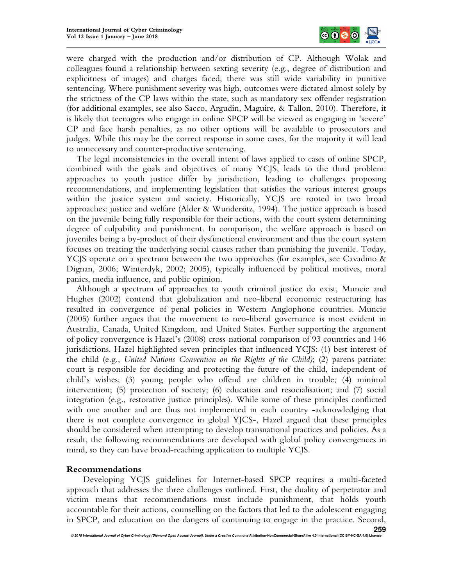

were charged with the production and/or distribution of CP. Although Wolak and colleagues found a relationship between sexting severity (e.g., degree of distribution and explicitness of images) and charges faced, there was still wide variability in punitive sentencing. Where punishment severity was high, outcomes were dictated almost solely by the strictness of the CP laws within the state, such as mandatory sex offender registration (for additional examples, see also Sacco, Argudin, Maguire, & Tallon, 2010). Therefore, it is likely that teenagers who engage in online SPCP will be viewed as engaging in 'severe' CP and face harsh penalties, as no other options will be available to prosecutors and judges. While this may be the correct response in some cases, for the majority it will lead to unnecessary and counter-productive sentencing.

The legal inconsistencies in the overall intent of laws applied to cases of online SPCP, combined with the goals and objectives of many YCJS, leads to the third problem: approaches to youth justice differ by jurisdiction, leading to challenges proposing recommendations, and implementing legislation that satisfies the various interest groups within the justice system and society. Historically, YCJS are rooted in two broad approaches: justice and welfare (Alder & Wundersitz, 1994). The justice approach is based on the juvenile being fully responsible for their actions, with the court system determining degree of culpability and punishment. In comparison, the welfare approach is based on juveniles being a by-product of their dysfunctional environment and thus the court system focuses on treating the underlying social causes rather than punishing the juvenile. Today, YCJS operate on a spectrum between the two approaches (for examples, see Cavadino & Dignan, 2006; Winterdyk, 2002; 2005), typically influenced by political motives, moral panics, media influence, and public opinion.

Although a spectrum of approaches to youth criminal justice do exist, Muncie and Hughes (2002) contend that globalization and neo-liberal economic restructuring has resulted in convergence of penal policies in Western Anglophone countries. Muncie (2005) further argues that the movement to neo-liberal governance is most evident in Australia, Canada, United Kingdom, and United States. Further supporting the argument of policy convergence is Hazel's (2008) cross-national comparison of 93 countries and 146 jurisdictions. Hazel highlighted seven principles that influenced YCJS: (1) best interest of the child (e.g., *United Nations Convention on the Rights of the Child)*; (2) parens patriate: court is responsible for deciding and protecting the future of the child, independent of child's wishes; (3) young people who offend are children in trouble; (4) minimal intervention; (5) protection of society; (6) education and resocialisation; and (7) social integration (e.g., restorative justice principles). While some of these principles conflicted with one another and are thus not implemented in each country -acknowledging that there is not complete convergence in global YJCS-, Hazel argued that these principles should be considered when attempting to develop transnational practices and policies. As a result, the following recommendations are developed with global policy convergences in mind, so they can have broad-reaching application to multiple YCJS.

## **Recommendations**

Developing YCJS guidelines for Internet-based SPCP requires a multi-faceted approach that addresses the three challenges outlined. First, the duality of perpetrator and victim means that recommendations must include punishment, that holds youth accountable for their actions, counselling on the factors that led to the adolescent engaging in SPCP, and education on the dangers of continuing to engage in the practice. Second,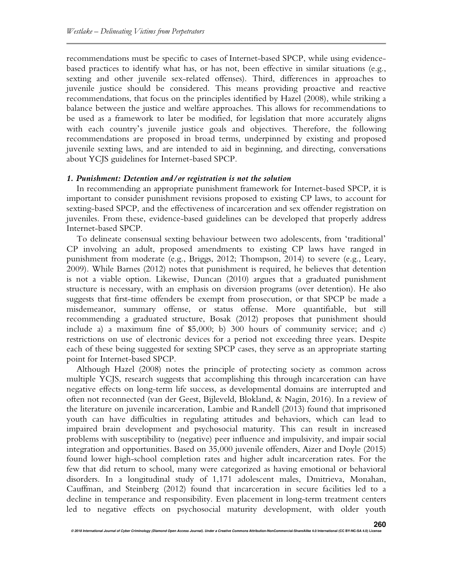recommendations must be specific to cases of Internet-based SPCP, while using evidencebased practices to identify what has, or has not, been effective in similar situations (e.g., sexting and other juvenile sex-related offenses). Third, differences in approaches to juvenile justice should be considered. This means providing proactive and reactive recommendations, that focus on the principles identified by Hazel (2008), while striking a balance between the justice and welfare approaches. This allows for recommendations to be used as a framework to later be modified, for legislation that more accurately aligns with each country's juvenile justice goals and objectives. Therefore, the following recommendations are proposed in broad terms, underpinned by existing and proposed juvenile sexting laws, and are intended to aid in beginning, and directing, conversations about YCJS guidelines for Internet-based SPCP.

### *1. Punishment: Detention and/or registration is not the solution*

In recommending an appropriate punishment framework for Internet-based SPCP, it is important to consider punishment revisions proposed to existing CP laws, to account for sexting-based SPCP, and the effectiveness of incarceration and sex offender registration on juveniles. From these, evidence-based guidelines can be developed that properly address Internet-based SPCP.

To delineate consensual sexting behaviour between two adolescents, from 'traditional' CP involving an adult, proposed amendments to existing CP laws have ranged in punishment from moderate (e.g., Briggs, 2012; Thompson, 2014) to severe (e.g., Leary, 2009). While Barnes (2012) notes that punishment is required, he believes that detention is not a viable option. Likewise, Duncan (2010) argues that a graduated punishment structure is necessary, with an emphasis on diversion programs (over detention). He also suggests that first-time offenders be exempt from prosecution, or that SPCP be made a misdemeanor, summary offense, or status offense. More quantifiable, but still recommending a graduated structure, Bosak (2012) proposes that punishment should include a) a maximum fine of \$5,000; b) 300 hours of community service; and c) restrictions on use of electronic devices for a period not exceeding three years. Despite each of these being suggested for sexting SPCP cases, they serve as an appropriate starting point for Internet-based SPCP.

Although Hazel (2008) notes the principle of protecting society as common across multiple YCJS, research suggests that accomplishing this through incarceration can have negative effects on long-term life success, as developmental domains are interrupted and often not reconnected (van der Geest, Bijleveld, Blokland, & Nagin, 2016). In a review of the literature on juvenile incarceration, Lambie and Randell (2013) found that imprisoned youth can have difficulties in regulating attitudes and behaviors, which can lead to impaired brain development and psychosocial maturity. This can result in increased problems with susceptibility to (negative) peer influence and impulsivity, and impair social integration and opportunities. Based on 35,000 juvenile offenders, Aizer and Doyle (2015) found lower high-school completion rates and higher adult incarceration rates. For the few that did return to school, many were categorized as having emotional or behavioral disorders. In a longitudinal study of 1,171 adolescent males, Dmitrieva, Monahan, Cauffman, and Steinberg (2012) found that incarceration in secure facilities led to a decline in temperance and responsibility. Even placement in long-term treatment centers led to negative effects on psychosocial maturity development, with older youth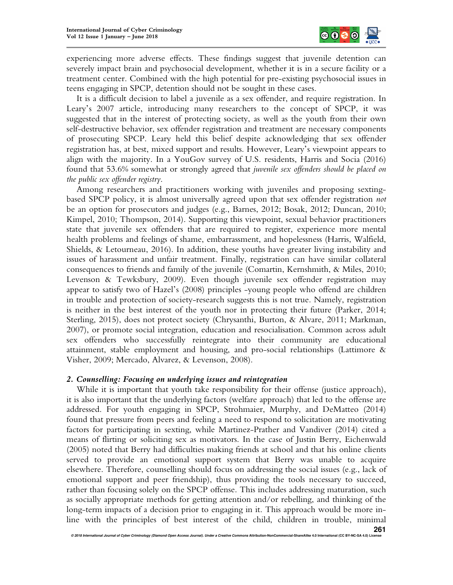

experiencing more adverse effects. These findings suggest that juvenile detention can severely impact brain and psychosocial development, whether it is in a secure facility or a treatment center. Combined with the high potential for pre-existing psychosocial issues in teens engaging in SPCP, detention should not be sought in these cases.

It is a difficult decision to label a juvenile as a sex offender, and require registration. In Leary's 2007 article, introducing many researchers to the concept of SPCP, it was suggested that in the interest of protecting society, as well as the youth from their own self-destructive behavior, sex offender registration and treatment are necessary components of prosecuting SPCP. Leary held this belief despite acknowledging that sex offender registration has, at best, mixed support and results. However, Leary's viewpoint appears to align with the majority. In a YouGov survey of U.S. residents, Harris and Socia (2016) found that 53.6% somewhat or strongly agreed that *juvenile sex offenders should be placed on the public sex offender registry*.

Among researchers and practitioners working with juveniles and proposing sextingbased SPCP policy, it is almost universally agreed upon that sex offender registration *not*  be an option for prosecutors and judges (e.g., Barnes, 2012; Bosak, 2012; Duncan, 2010; Kimpel, 2010; Thompson, 2014). Supporting this viewpoint, sexual behavior practitioners state that juvenile sex offenders that are required to register, experience more mental health problems and feelings of shame, embarrassment, and hopelessness (Harris, Walfield, Shields, & Letourneau, 2016). In addition, these youths have greater living instability and issues of harassment and unfair treatment. Finally, registration can have similar collateral consequences to friends and family of the juvenile (Comartin, Kernshmith, & Miles, 2010; Levenson & Tewksbury, 2009). Even though juvenile sex offender registration may appear to satisfy two of Hazel's (2008) principles -young people who offend are children in trouble and protection of society-research suggests this is not true. Namely, registration is neither in the best interest of the youth nor in protecting their future (Parker, 2014; Sterling, 2015), does not protect society (Chrysanthi, Burton, & Alvare, 2011; Markman, 2007), or promote social integration, education and resocialisation. Common across adult sex offenders who successfully reintegrate into their community are educational attainment, stable employment and housing, and pro-social relationships (Lattimore & Visher, 2009; Mercado, Alvarez, & Levenson, 2008).

## *2. Counselling: Focusing on underlying issues and reintegration*

While it is important that youth take responsibility for their offense (justice approach), it is also important that the underlying factors (welfare approach) that led to the offense are addressed. For youth engaging in SPCP, Strohmaier, Murphy, and DeMatteo (2014) found that pressure from peers and feeling a need to respond to solicitation are motivating factors for participating in sexting, while Martinez-Prather and Vandiver (2014) cited a means of flirting or soliciting sex as motivators. In the case of Justin Berry, Eichenwald (2005) noted that Berry had difficulties making friends at school and that his online clients served to provide an emotional support system that Berry was unable to acquire elsewhere. Therefore, counselling should focus on addressing the social issues (e.g., lack of emotional support and peer friendship), thus providing the tools necessary to succeed, rather than focusing solely on the SPCP offense. This includes addressing maturation, such as socially appropriate methods for getting attention and/or rebelling, and thinking of the long-term impacts of a decision prior to engaging in it. This approach would be more inline with the principles of best interest of the child, children in trouble, minimal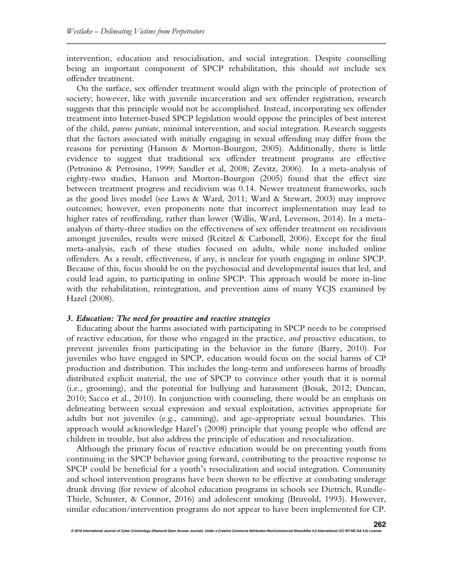intervention, education and resocialisation, and social integration. Despite counselling being an important component of SPCP rehabilitation, this should *not* include sex offender treatment.

On the surface, sex offender treatment would align with the principle of protection of society; however, like with juvenile incarceration and sex offender registration, research suggests that this principle would not be accomplished. Instead, incorporating sex offender treatment into Internet-based SPCP legislation would oppose the principles of best interest of the child, *parens patriate*, minimal intervention, and social integration. Research suggests that the factors associated with initially engaging in sexual offending may differ from the reasons for persisting (Hanson & Morton-Bourgon, 2005). Additionally, there is little evidence to suggest that traditional sex offender treatment programs are effective (Petrosino & Petrosino, 1999; Sandler et al, 2008; Zevitz, 2006). In a meta-analysis of eighty-two studies, Hanson and Morton-Bourgon (2005) found that the effect size between treatment progress and recidivism was 0.14. Newer treatment frameworks, such as the good lives model (see Laws & Ward, 2011; Ward & Stewart, 2003) may improve outcomes; however, even proponents note that incorrect implementation may lead to higher rates of reoffending, rather than lower (Willis, Ward, Levenson, 2014). In a metaanalysis of thirty-three studies on the effectiveness of sex offender treatment on recidivism amongst juveniles, results were mixed (Reitzel & Carbonell, 2006). Except for the final meta-analysis, each of these studies focused on adults, while none included online offenders. As a result, effectiveness, if any, is unclear for youth engaging in online SPCP. Because of this, focus should be on the psychosocial and developmental issues that led, and could lead again, to participating in online SPCP. This approach would be more in-line with the rehabilitation, reintegration, and prevention aims of many YCJS examined by Hazel (2008).

#### *3. Education: The need for proactive and reactive strategies*

Educating about the harms associated with participating in SPCP needs to be comprised of reactive education, for those who engaged in the practice, *and* proactive education, to prevent juveniles from participating in the behavior in the future (Barry, 2010). For juveniles who have engaged in SPCP, education would focus on the social harms of CP production and distribution. This includes the long-term and unforeseen harms of broadly distributed explicit material, the use of SPCP to convince other youth that it is normal (i.e., grooming), and the potential for bullying and harassment (Bosak, 2012; Duncan, 2010; Sacco et al., 2010). In conjunction with counseling, there would be an emphasis on delineating between sexual expression and sexual exploitation, activities appropriate for adults but not juveniles (e.g., camming), and age-appropriate sexual boundaries. This approach would acknowledge Hazel's (2008) principle that young people who offend are children in trouble, but also address the principle of education and resocialization.

Although the primary focus of reactive education would be on preventing youth from continuing in the SPCP behavior going forward, contributing to the proactive response to SPCP could be beneficial for a youth's resocialization and social integration. Community and school intervention programs have been shown to be effective at combating underage drunk driving (for review of alcohol education programs in schools see Dietrich, Rundle-Thiele, Schuster, & Connor, 2016) and adolescent smoking (Bruvold, 1993). However, similar education/intervention programs do not appear to have been implemented for CP.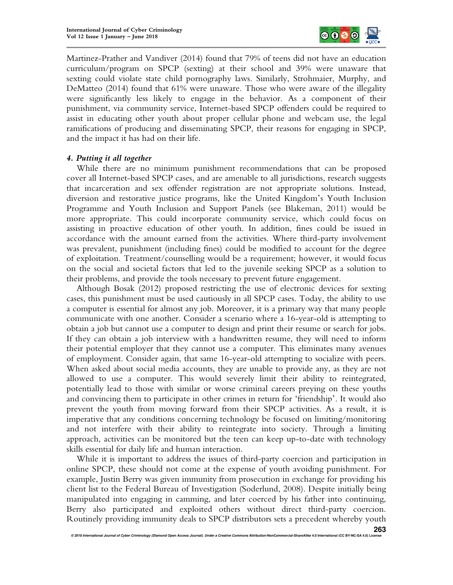

Martinez-Prather and Vandiver (2014) found that 79% of teens did not have an education curriculum/program on SPCP (sexting) at their school and 39% were unaware that sexting could violate state child pornography laws. Similarly, Strohmaier, Murphy, and DeMatteo (2014) found that 61% were unaware. Those who were aware of the illegality were significantly less likely to engage in the behavior. As a component of their punishment, via community service, Internet-based SPCP offenders could be required to assist in educating other youth about proper cellular phone and webcam use, the legal ramifications of producing and disseminating SPCP, their reasons for engaging in SPCP, and the impact it has had on their life.

# *4. Putting it all together*

While there are no minimum punishment recommendations that can be proposed cover all Internet-based SPCP cases, and are amenable to all jurisdictions, research suggests that incarceration and sex offender registration are not appropriate solutions. Instead, diversion and restorative justice programs, like the United Kingdom's Youth Inclusion Programme and Youth Inclusion and Support Panels (see Blakeman, 2011) would be more appropriate. This could incorporate community service, which could focus on assisting in proactive education of other youth. In addition, fines could be issued in accordance with the amount earned from the activities. Where third-party involvement was prevalent, punishment (including fines) could be modified to account for the degree of exploitation. Treatment/counselling would be a requirement; however, it would focus on the social and societal factors that led to the juvenile seeking SPCP as a solution to their problems, and provide the tools necessary to prevent future engagement.

Although Bosak (2012) proposed restricting the use of electronic devices for sexting cases, this punishment must be used cautiously in all SPCP cases. Today, the ability to use a computer is essential for almost any job. Moreover, it is a primary way that many people communicate with one another. Consider a scenario where a 16-year-old is attempting to obtain a job but cannot use a computer to design and print their resume or search for jobs. If they can obtain a job interview with a handwritten resume, they will need to inform their potential employer that they cannot use a computer. This eliminates many avenues of employment. Consider again, that same 16-year-old attempting to socialize with peers. When asked about social media accounts, they are unable to provide any, as they are not allowed to use a computer. This would severely limit their ability to reintegrated, potentially lead to those with similar or worse criminal careers preying on these youths and convincing them to participate in other crimes in return for 'friendship'. It would also prevent the youth from moving forward from their SPCP activities. As a result, it is imperative that any conditions concerning technology be focused on limiting/monitoring and not interfere with their ability to reintegrate into society. Through a limiting approach, activities can be monitored but the teen can keep up-to-date with technology skills essential for daily life and human interaction.

While it is important to address the issues of third-party coercion and participation in online SPCP, these should not come at the expense of youth avoiding punishment. For example, Justin Berry was given immunity from prosecution in exchange for providing his client list to the Federal Bureau of Investigation (Soderlund, 2008). Despite initially being manipulated into engaging in camming, and later coerced by his father into continuing, Berry also participated and exploited others without direct third-party coercion. Routinely providing immunity deals to SPCP distributors sets a precedent whereby youth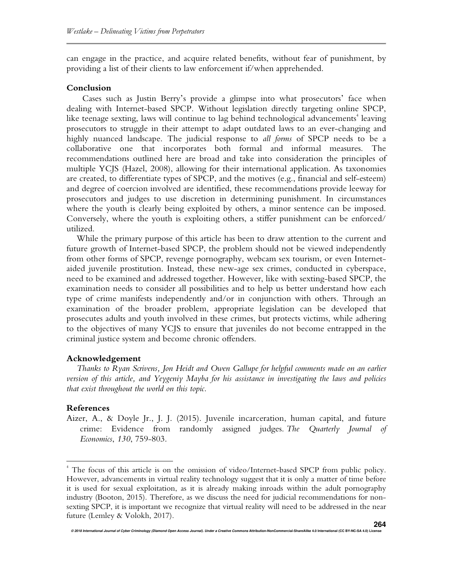can engage in the practice, and acquire related benefits, without fear of punishment, by providing a list of their clients to law enforcement if/when apprehended.

#### **Conclusion**

Cases such as Justin Berry's provide a glimpse into what prosecutors' face when dealing with Internet-based SPCP. Without legislation directly targeting online SPCP, like teenage sexting, laws will continue to lag behind technological advancements<sup>4</sup> leaving prosecutors to struggle in their attempt to adapt outdated laws to an ever-changing and highly nuanced landscape. The judicial response to *all forms* of SPCP needs to be a collaborative one that incorporates both formal and informal measures. The recommendations outlined here are broad and take into consideration the principles of multiple YCJS (Hazel, 2008), allowing for their international application. As taxonomies are created, to differentiate types of SPCP, and the motives (e.g., financial and self-esteem) and degree of coercion involved are identified, these recommendations provide leeway for prosecutors and judges to use discretion in determining punishment. In circumstances where the youth is clearly being exploited by others, a minor sentence can be imposed. Conversely, where the youth is exploiting others, a stiffer punishment can be enforced/ utilized.

While the primary purpose of this article has been to draw attention to the current and future growth of Internet-based SPCP, the problem should not be viewed independently from other forms of SPCP, revenge pornography, webcam sex tourism, or even Internetaided juvenile prostitution. Instead, these new-age sex crimes, conducted in cyberspace, need to be examined and addressed together. However, like with sexting-based SPCP, the examination needs to consider all possibilities and to help us better understand how each type of crime manifests independently and/or in conjunction with others. Through an examination of the broader problem, appropriate legislation can be developed that prosecutes adults and youth involved in these crimes, but protects victims, while adhering to the objectives of many YCJS to ensure that juveniles do not become entrapped in the criminal justice system and become chronic offenders.

#### **Acknowledgement**

*Thanks to Ryan Scrivens, Jon Heidt and Owen Gallupe for helpful comments made on an earlier version of this article, and Yeygeniy Mayba for his assistance in investigating the laws and policies that exist throughout the world on this topic.* 

#### **References**

 $\overline{a}$ 

Aizer, A., & Doyle Jr., J. J. (2015). Juvenile incarceration, human capital, and future crime: Evidence from randomly assigned judges. *The Quarterly Journal of Economics*, *130*, 759-803.

<sup>4</sup> The focus of this article is on the omission of video/Internet-based SPCP from public policy. However, advancements in virtual reality technology suggest that it is only a matter of time before it is used for sexual exploitation, as it is already making inroads within the adult pornography industry (Booton, 2015). Therefore, as we discuss the need for judicial recommendations for nonsexting SPCP, it is important we recognize that virtual reality will need to be addressed in the near future (Lemley & Volokh, 2017).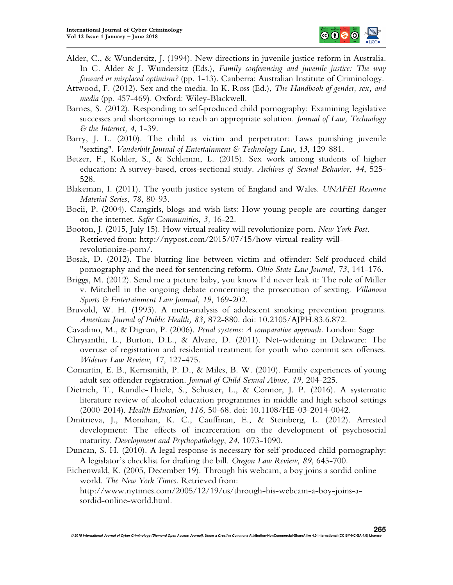

- Alder, C., & Wundersitz, J. (1994). New directions in juvenile justice reform in Australia. In C. Alder & J. Wundersitz (Eds.), *Family conferencing and juvenile justice: The way forward or misplaced optimism?* (pp. 1-13). Canberra: Australian Institute of Criminology.
- Attwood, F. (2012). Sex and the media. In K. Ross (Ed.), *The Handbook of gender, sex, and media* (pp. 457-469)*.* Oxford: Wiley-Blackwell.
- Barnes, S. (2012). Responding to self-produced child pornography: Examining legislative successes and shortcomings to reach an appropriate solution. *Journal of Law, Technology & the Internet, 4,* 1-39.
- Barry, J. L. (2010). The child as victim and perpetrator: Laws punishing juvenile "sexting". *Vanderbilt Journal of Entertainment & Technology Law*, *13*, 129-881.
- Betzer, F., Kohler, S., & Schlemm, L. (2015). Sex work among students of higher education: A survey-based, cross-sectional study. *Archives of Sexual Behavior, 44*, 525- 528.
- Blakeman, I. (2011). The youth justice system of England and Wales. *UNAFEI Resource Material Series, 78,* 80-93.
- Bocii, P. (2004). Camgirls, blogs and wish lists: How young people are courting danger on the internet. *Safer Communities, 3,* 16-22.
- Booton, J. (2015, July 15). How virtual reality will revolutionize porn. *New York Post.*  Retrieved from: http://nypost.com/2015/07/15/how-virtual-reality-willrevolutionize-porn/.
- Bosak, D. (2012). The blurring line between victim and offender: Self-produced child pornography and the need for sentencing reform. *Ohio State Law Journal, 73*, 141-176.
- Briggs, M. (2012). Send me a picture baby, you know I'd never leak it: The role of Miller v. Mitchell in the ongoing debate concerning the prosecution of sexting. *Villanova Sports & Entertainment Law Journal*, *19*, 169-202.
- Bruvold, W. H. (1993). A meta-analysis of adolescent smoking prevention programs. *American Journal of Public Health, 83,* 872-880. doi: 10.2105/AJPH.83.6.872.
- Cavadino, M., & Dignan, P. (2006). *Penal systems: A comparative approach.* London: Sage
- Chrysanthi, L., Burton, D.L., & Alvare, D. (2011). Net-widening in Delaware: The overuse of registration and residential treatment for youth who commit sex offenses. *Widener Law Review, 17,* 127-475.
- Comartin, E. B., Kernsmith, P. D., & Miles, B. W. (2010). Family experiences of young adult sex offender registration. *Journal of Child Sexual Abuse, 19,* 204-225.
- Dietrich, T., Rundle-Thiele, S., Schuster, L., & Connor, J. P. (2016). A systematic literature review of alcohol education programmes in middle and high school settings (2000-2014). *Health Education, 116,* 50-68. doi: 10.1108/HE-03-2014-0042.
- Dmitrieva, J., Monahan, K. C., Cauffman, E., & Steinberg, L. (2012). Arrested development: The effects of incarceration on the development of psychosocial maturity. *Development and Psychopathology*, *24*, 1073-1090.
- Duncan, S. H. (2010). A legal response is necessary for self-produced child pornography: A legislator's checklist for drafting the bill. *Oregon Law Review, 89*, 645-700.
- Eichenwald, K. (2005, December 19). Through his webcam, a boy joins a sordid online world. *The New York Times*. Retrieved from: http://www.nytimes.com/2005/12/19/us/through-his-webcam-a-boy-joins-a-

sordid-online-world.html.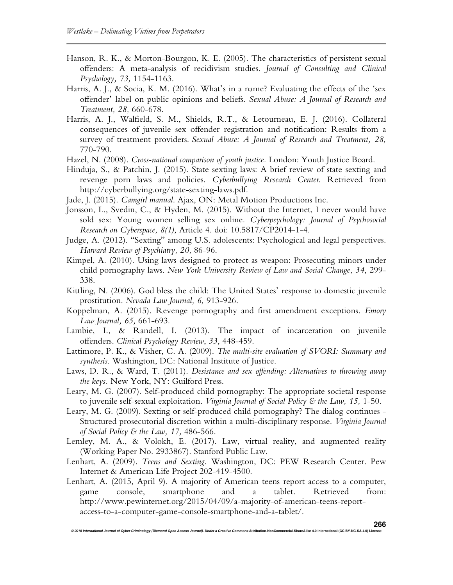- Hanson, R. K., & Morton-Bourgon, K. E. (2005). The characteristics of persistent sexual offenders: A meta-analysis of recidivism studies. *Journal of Consulting and Clinical Psychology, 73,* 1154-1163.
- Harris, A. J., & Socia, K. M. (2016). What's in a name? Evaluating the effects of the 'sex offender' label on public opinions and beliefs. *Sexual Abuse: A Journal of Research and Treatment, 28,* 660-678.
- Harris, A. J., Walfield, S. M., Shields, R.T., & Letourneau, E. J. (2016). Collateral consequences of juvenile sex offender registration and notification: Results from a survey of treatment providers. *Sexual Abuse: A Journal of Research and Treatment, 28,*  770-790.
- Hazel, N. (2008). *Cross-national comparison of youth justice.* London: Youth Justice Board.
- Hinduja, S., & Patchin, J. (2015). State sexting laws: A brief review of state sexting and revenge porn laws and policies. *Cyberbullying Research Center*. Retrieved from http://cyberbullying.org/state-sexting-laws.pdf.
- Jade, J. (2015). *Camgirl manual*. Ajax, ON: Metal Motion Productions Inc.
- Jonsson, L., Svedin, C., & Hyden, M. (2015). Without the Internet, I never would have sold sex: Young women selling sex online. *Cyberpsychology: Journal of Psychosocial Research on Cyberspace, 8(1),* Article 4. doi: 10.5817/CP2014-1-4.
- Judge, A. (2012). "Sexting" among U.S. adolescents: Psychological and legal perspectives. *Harvard Review of Psychiatry, 20,* 86-96.
- Kimpel, A. (2010). Using laws designed to protect as weapon: Prosecuting minors under child pornography laws. *New York University Review of Law and Social Change, 34,* 299- 338.
- Kittling, N. (2006). God bless the child: The United States' response to domestic juvenile prostitution. *Nevada Law Journal, 6,* 913-926.
- Koppelman, A. (2015). Revenge pornography and first amendment exceptions. *Emory Law Journal, 65,* 661-693.
- Lambie, I., & Randell, I. (2013). The impact of incarceration on juvenile offenders. *Clinical Psychology Review*, *33*, 448-459.
- Lattimore, P. K., & Visher, C. A. (2009). *The multi-site evaluation of SVORI: Summary and synthesis*. Washington, DC: National Institute of Justice.
- Laws, D. R., & Ward, T. (2011). *Desistance and sex offending: Alternatives to throwing away the keys.* New York, NY: Guilford Press.
- Leary, M. G. (2007). Self-produced child pornography: The appropriate societal response to juvenile self-sexual exploitation. *Virginia Journal of Social Policy & the Law, 15,* 1-50.
- Leary, M. G. (2009). Sexting or self-produced child pornography? The dialog continues Structured prosecutorial discretion within a multi-disciplinary response. *Virginia Journal of Social Policy & the Law, 17,* 486-566.
- Lemley, M. A., & Volokh, E. (2017). Law, virtual reality, and augmented reality (Working Paper No. 2933867). Stanford Public Law.
- Lenhart, A. (2009). *Teens and Sexting.* Washington, DC: PEW Research Center. Pew Internet & American Life Project 202-419-4500.
- Lenhart, A. (2015, April 9). A majority of American teens report access to a computer, game console, smartphone and a tablet. Retrieved from: http://www.pewinternet.org/2015/04/09/a-majority-of-american-teens-reportaccess-to-a-computer-game-console-smartphone-and-a-tablet/.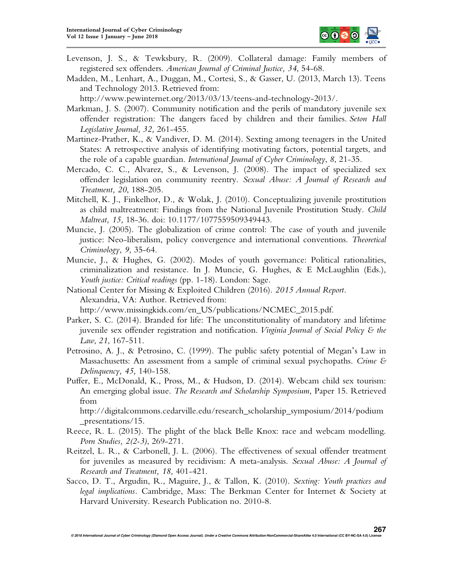

- Levenson, J. S., & Tewksbury, R. (2009). Collateral damage: Family members of registered sex offenders. *American Journal of Criminal Justice, 34*, 54-68.
- Madden, M., Lenhart, A., Duggan, M., Cortesi, S., & Gasser, U. (2013, March 13). Teens and Technology 2013. Retrieved from:

http://www.pewinternet.org/2013/03/13/teens-and-technology-2013/.

- Markman, J. S. (2007). Community notification and the perils of mandatory juvenile sex offender registration: The dangers faced by children and their families. *Seton Hall Legislative Journal, 32,* 261-455.
- Martinez-Prather, K., & Vandiver, D. M. (2014). Sexting among teenagers in the United States: A retrospective analysis of identifying motivating factors, potential targets, and the role of a capable guardian. *International Journal of Cyber Criminology*, *8*, 21-35.
- Mercado, C. C., Alvarez, S., & Levenson, J. (2008). The impact of specialized sex offender legislation on community reentry. *Sexual Abuse: A Journal of Research and Treatment, 20*, 188-205.
- Mitchell, K. J., Finkelhor, D., & Wolak, J. (2010). Conceptualizing juvenile prostitution as child maltreatment: Findings from the National Juvenile Prostitution Study. *Child Maltreat, 15,* 18-36. doi: 10.1177/1077559509349443.
- Muncie, J. (2005). The globalization of crime control: The case of youth and juvenile justice: Neo-liberalism, policy convergence and international conventions. *Theoretical Criminology, 9,* 35-64.
- Muncie, J., & Hughes, G. (2002). Modes of youth governance: Political rationalities, criminalization and resistance. In J. Muncie, G. Hughes, & E McLaughlin (Eds.), *Youth justice: Critical readings* (pp. 1-18). London: Sage.
- National Center for Missing & Exploited Children (2016). *2015 Annual Report.* Alexandria, VA: Author. Retrieved from: http://www.missingkids.com/en\_US/publications/NCMEC\_2015.pdf.
- Parker, S. C. (2014). Branded for life: The unconstitutionality of mandatory and lifetime juvenile sex offender registration and notification. *Virginia Journal of Social Policy & the Law*, *21*, 167-511.
- Petrosino, A. J., & Petrosino, C. (1999). The public safety potential of Megan's Law in Massachusetts: An assessment from a sample of criminal sexual psychopaths. *Crime & Delinquency, 45,* 140-158.
- Puffer, E., McDonald, K., Pross, M., & Hudson, D. (2014). Webcam child sex tourism: An emerging global issue. *The Research and Scholarship Symposium*, Paper 15. Retrieved from

http://digitalcommons.cedarville.edu/research\_scholarship\_symposium/2014/podium \_presentations/15.

- Reece, R. L. (2015). The plight of the black Belle Knox: race and webcam modelling. *Porn Studies, 2(2-3)*, 269-271.
- Reitzel, L. R., & Carbonell, J. L. (2006). The effectiveness of sexual offender treatment for juveniles as measured by recidivism: A meta-analysis. *Sexual Abuse: A Journal of Research and Treatment, 18,* 401-421.
- Sacco, D. T., Argudin, R., Maguire, J., & Tallon, K. (2010). *Sexting: Youth practices and legal implications.* Cambridge, Mass: The Berkman Center for Internet & Society at Harvard University. Research Publication no. 2010-8.